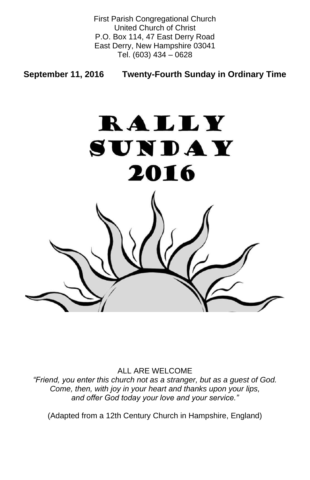First Parish Congregational Church United Church of Christ P.O. Box 114, 47 East Derry Road East Derry, New Hampshire 03041 Tel. (603) 434 – 0628

**September 11, 2016 Twenty-Fourth Sunday in Ordinary Time**



#### ALL ARE WELCOME

*"Friend, you enter this church not as a stranger, but as a guest of God. Come, then, with joy in your heart and thanks upon your lips, and offer God today your love and your service."*

(Adapted from a 12th Century Church in Hampshire, England)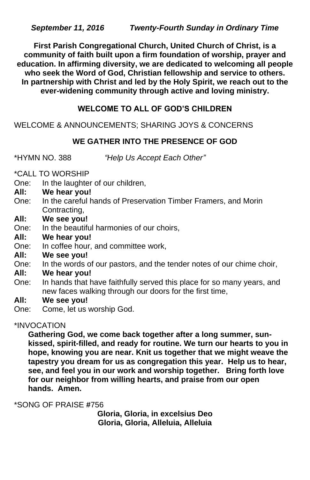**First Parish Congregational Church, United Church of Christ, is a community of faith built upon a firm foundation of worship, prayer and education. In affirming diversity, we are dedicated to welcoming all people who seek the Word of God, Christian fellowship and service to others. In partnership with Christ and led by the Holy Spirit, we reach out to the ever-widening community through active and loving ministry.**

# **WELCOME TO ALL OF GOD'S CHILDREN**

WELCOME & ANNOUNCEMENTS; SHARING JOYS & CONCERNS

# **WE GATHER INTO THE PRESENCE OF GOD**

\*HYMN NO. 388 *"Help Us Accept Each Other"*

\*CALL TO WORSHIP

- One: In the laughter of our children,
- **All: We hear you!**
- One: In the careful hands of Preservation Timber Framers, and Morin Contracting,
- **All: We see you!**
- One: In the beautiful harmonies of our choirs,
- **All: We hear you!**
- One: In coffee hour, and committee work,
- **All: We see you!**
- One: In the words of our pastors, and the tender notes of our chime choir,
- **All: We hear you!**
- One: In hands that have faithfully served this place for so many years, and new faces walking through our doors for the first time,
- **All: We see you!**
- One: Come, let us worship God.

# \*INVOCATION

**Gathering God, we come back together after a long summer, sunkissed, spirit-filled, and ready for routine. We turn our hearts to you in hope, knowing you are near. Knit us together that we might weave the tapestry you dream for us as congregation this year. Help us to hear, see, and feel you in our work and worship together. Bring forth love for our neighbor from willing hearts, and praise from our open hands. Amen.**

\*SONG OF PRAISE **#**756

**Gloria, Gloria, in excelsius Deo Gloria, Gloria, Alleluia, Alleluia**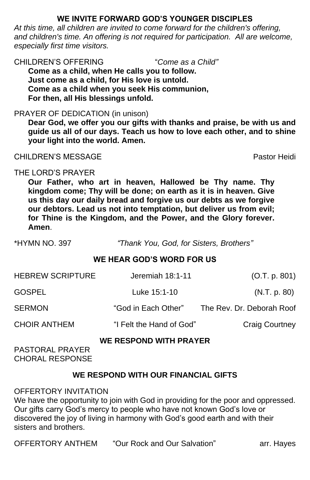# **WE INVITE FORWARD GOD'S YOUNGER DISCIPLES**

*At this time, all children are invited to come forward for the children's offering,*  and children's time. An offering is not required for participation. All are welcome, *especially first time visitors.*

CHILDREN'S OFFERING "*Come as a Child"* **Come as a child, when He calls you to follow. Just come as a child, for His love is untold. Come as a child when you seek His communion, For then, all His blessings unfold.**

## PRAYER OF DEDICATION (in unison)

| <b>HEBREW SCRIPTURE</b>                                 | Jeremiah 18:1-11         | (O.T. p. 801)             |
|---------------------------------------------------------|--------------------------|---------------------------|
| GOSPEL                                                  | Luke 15:1-10             | (N.T. p. 80)              |
| <b>SERMON</b>                                           | "God in Each Other"      | The Rev. Dr. Deborah Roof |
| <b>CHOIR ANTHEM</b>                                     | "I Felt the Hand of God" | <b>Craig Courtney</b>     |
| <b>WE RESPOND WITH PRAYER</b><br><b>PASTORAL PRAYER</b> |                          |                           |

**Dear God, we offer you our gifts with thanks and praise, be with us and guide us all of our days. Teach us how to love each other, and to shine your light into the world. Amen.**

## CHILDREN'S MESSAGE Pastor Heidi

## THE LORD'S PRAYER

**Our Father, who art in heaven, Hallowed be Thy name. Thy kingdom come; Thy will be done; on earth as it is in heaven. Give us this day our daily bread and forgive us our debts as we forgive our debtors. Lead us not into temptation, but deliver us from evil; for Thine is the Kingdom, and the Power, and the Glory forever. Amen**.

\*HYMN NO. 397 *"Thank You, God, for Sisters, Brothers"*

## **WE HEAR GOD'S WORD FOR US**

#### CHORAL RESPONSE

## **WE RESPOND WITH OUR FINANCIAL GIFTS**

#### OFFERTORY INVITATION

We have the opportunity to join with God in providing for the poor and oppressed. Our gifts carry God's mercy to people who have not known God's love or discovered the joy of living in harmony with God's good earth and with their sisters and brothers.

OFFERTORY ANTHEM "Our Rock and Our Salvation" arr. Hayes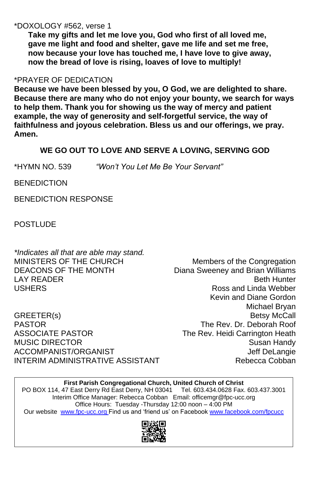## \*DOXOLOGY #562, verse 1

**Take my gifts and let me love you, God who first of all loved me, gave me light and food and shelter, gave me life and set me free, now because your love has touched me, I have love to give away, now the bread of love is rising, loaves of love to multiply!**

#### \*PRAYER OF DEDICATION

*\*Indicates all that are able may stand.* MINISTERS OF THE CHURCH Members of the Congregation DEACONS OF THE MONTH Diana Sweeney and Brian Williams LAY READER **Beth Hunter** USHERS **Ross** and Linda Webber

**Because we have been blessed by you, O God, we are delighted to share. Because there are many who do not enjoy your bounty, we search for ways to help them. Thank you for showing us the way of mercy and patient example, the way of generosity and self-forgetful service, the way of faithfulness and joyous celebration. Bless us and our offerings, we pray. Amen.**

Kevin and Diane Gordon Michael Bryan GREETER(s) Betsy McCall PASTOR The Rev. Dr. Deborah Roof ASSOCIATE PASTOR The Rev. Heidi Carrington Heath MUSIC DIRECTOR Susan Handy ACCOMPANIST/ORGANIST ACCOMPANIST ACCOMPANIST ASSESSMENT OF THE REAL PROPERTY ASSESSMENT ASSESSMENT AND THE REAL PROPERTY OF THE REAL PROPERTY OF THE REAL PROPERTY OF THE REAL PROPERTY OF THE REAL PROPERTY OF THE REAL PROPE

# INTERIM ADMINISTRATIVE ASSISTANT THE Rebecca Cobban

PO BOX 114, 47 East Derry Rd East Derry, NH 03041 Tel. 603.434.0628 Fax. 603.437.3001 Interim Office Manager: Rebecca Cobban Email: officemgr@fpc-ucc.org Office Hours: Tuesday -Thursday 12:00 noon – 4:00 PM Our website [www.fpc-ucc.org](http://www.fpc-ucc.org/) Find us and 'friend us' on Facebook [www.facebook.com/fpcucc](http://www.facebook.com/fpcucc)



# **WE GO OUT TO LOVE AND SERVE A LOVING, SERVING GOD**

\*HYMN NO. 539 *"Won't You Let Me Be Your Servant"*

**BENEDICTION** 

BENEDICTION RESPONSE

**POSTLUDE** 

**First Parish Congregational Church, United Church of Christ**